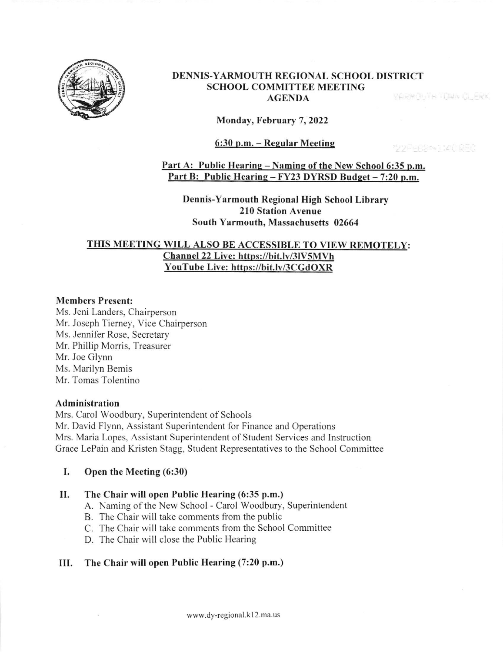

#### DENNIS-YARMOUTH REGIONAL SCHOOL DISTRICT SCHOOL COMMITTEE MEETING **YARMOUTH TOWN CLERK** AGENDA

Monday, February 7, 2022

### 6:30 p.m. - Regular Meeting

199FFRRAGGED

Part A: Public Hearing - Naming of the New School 6:35 p.m. Part B: Public Hearing - FY23 DYRSD Budget - 7:20 p.m.

Dennis-Yarmouth Regional High School Library 210 Station Avenue South Yarmouth, Massachusetts 02664

# <u>THIS MEETING WILL ALSO BE ACCESSIBLE TO VIEW REMOTELY</u> Channel 22 Live: https://bit.ly/3lV5MVh YouTube Live: https://bit.ly/3CGdOXR

#### Members Present:

Ms. Jeni Landers, Chairperson Mr. Joseph Tiemey. Vice Chairperson Ms. Jennifer Rose. Secretary Mr. Phillip Morris, Treasurer Mr. Joe Glynn Ms. Marilyn Bemis Mr. Tomas Tolentino

#### Administration

Mrs. Carol Woodbury, Superintendent of Schools Mr. David Flynn, Assistant Superintendent for Finance and Operations Mrs. Maria Lopes, Assistant Superintendent of Student Services and Instruction Grace LePain and Kristen Stagg, Student Representatives to the School Committee

# I. Open the Meeting (6:30)

### II. The Chair will open Public Hearing (6:35 p.m.)

- A. Naming of the New School Carol Woodbury, Superintendent
- B. The Chair will take comments fiom the public
- C. The Chair will take comments fiom the School Committee
- D. The Chair will close the Public Hearing

# III. The Chair will open Public Hearing (7:20 p.m.)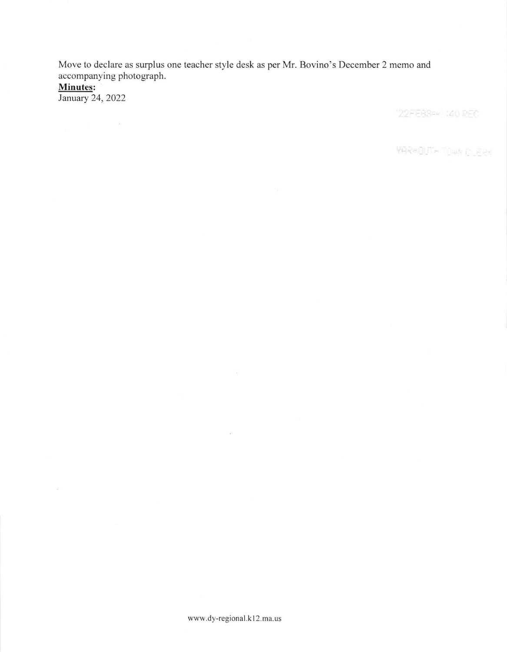Move to declare as surplus one teacher style desk as per Mr. Bovino's December 2 memo and accompanying photograph.

Minutes:

January 24,2022

 $\frac{1}{2}$ 

"22FEBS==1:40 REC

**YAR#DUTH TOWN CLERK** 

 $\mathcal{A}$